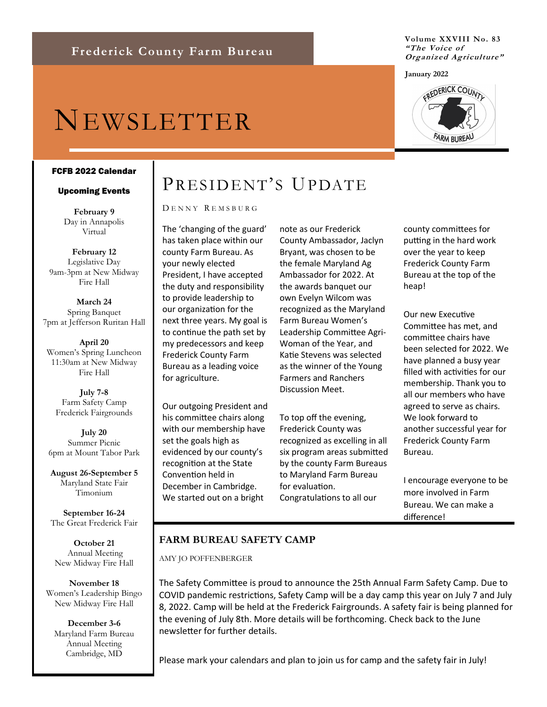# NEWSLETTER

#### FCFB 2022 Calendar

#### Upcoming Events

**February 9** Day in Annapolis Virtual

**February 12** Legislative Day 9am-3pm at New Midway Fire Hall

**March 24** Spring Banquet 7pm at Jefferson Ruritan Hall

**April 20** Women's Spring Luncheon 11:30am at New Midway Fire Hall

**July 7-8** Farm Safety Camp Frederick Fairgrounds

**July 20** Summer Picnic 6pm at Mount Tabor Park

**August 26-September 5** Maryland State Fair Timonium

**September 16-24** The Great Frederick Fair

**October 21** Annual Meeting New Midway Fire Hall

**November 18** Women's Leadership Bingo New Midway Fire Hall

**December 3-6** Maryland Farm Bureau Annual Meeting Cambridge, MD

# PRESIDENT'S UPDATE

#### D E N N Y R E M S B U R G

The 'changing of the guard' has taken place within our county Farm Bureau. As your newly elected President, I have accepted the duty and responsibility to provide leadership to our organization for the next three years. My goal is to continue the path set by my predecessors and keep Frederick County Farm Bureau as a leading voice for agriculture.

Our outgoing President and his committee chairs along with our membership have set the goals high as evidenced by our county's recognition at the State Convention held in December in Cambridge. We started out on a bright

note as our Frederick County Ambassador, Jaclyn Bryant, was chosen to be the female Maryland Ag Ambassador for 2022. At the awards banquet our own Evelyn Wilcom was recognized as the Maryland Farm Bureau Women's Leadership Committee Agri-Woman of the Year, and Katie Stevens was selected as the winner of the Young Farmers and Ranchers Discussion Meet.

To top off the evening, Frederick County was recognized as excelling in all six program areas submitted by the county Farm Bureaus to Maryland Farm Bureau for evaluation. Congratulations to all our

county committees for putting in the hard work over the year to keep Frederick County Farm Bureau at the top of the heap!

Our new Executive Committee has met, and committee chairs have been selected for 2022. We have planned a busy year filled with activities for our membership. Thank you to all our members who have agreed to serve as chairs. We look forward to another successful year for Frederick County Farm Bureau.

I encourage everyone to be more involved in Farm Bureau. We can make a difference!

## **FARM BUREAU SAFETY CAMP**

AMY JO POFFENBERGER

The Safety Committee is proud to announce the 25th Annual Farm Safety Camp. Due to COVID pandemic restrictions, Safety Camp will be a day camp this year on July 7 and July 8, 2022. Camp will be held at the Frederick Fairgrounds. A safety fair is being planned for the evening of July 8th. More details will be forthcoming. Check back to the June newsletter for further details.

Please mark your calendars and plan to join us for camp and the safety fair in July!



**Volume XXVIII No. 83**

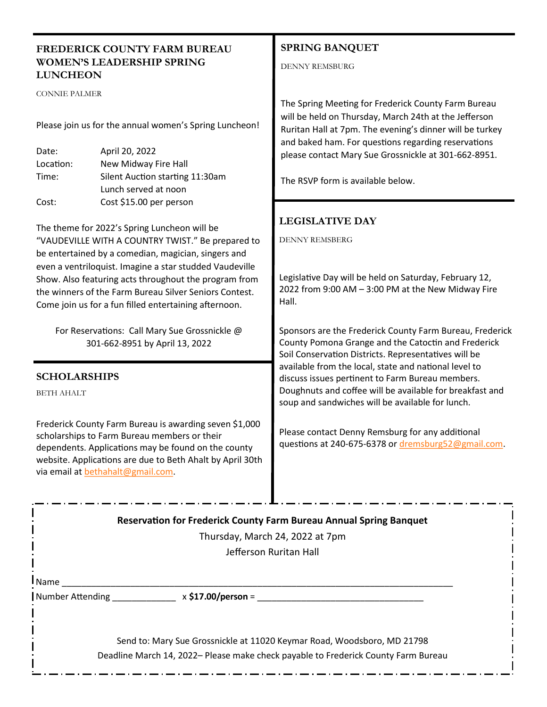| <b>FREDERICK COUNTY FARM BUREAU</b><br><b>WOMEN'S LEADERSHIP SPRING</b><br><b>LUNCHEON</b>                                                                                                                                                                                                                                                  |                                                                                                                                                                                                                                                                                             | <b>SPRING BANQUET</b><br><b>DENNY REMSBURG</b>                                                                                                                                                                                                                                                                                                                                  |  |  |
|---------------------------------------------------------------------------------------------------------------------------------------------------------------------------------------------------------------------------------------------------------------------------------------------------------------------------------------------|---------------------------------------------------------------------------------------------------------------------------------------------------------------------------------------------------------------------------------------------------------------------------------------------|---------------------------------------------------------------------------------------------------------------------------------------------------------------------------------------------------------------------------------------------------------------------------------------------------------------------------------------------------------------------------------|--|--|
| <b>CONNIE PALMER</b><br>Date:<br>Location:<br>Time:<br>Cost:                                                                                                                                                                                                                                                                                | Please join us for the annual women's Spring Luncheon!<br>April 20, 2022<br>New Midway Fire Hall<br>Silent Auction starting 11:30am<br>Lunch served at noon<br>Cost \$15.00 per person<br>The theme for 2022's Spring Luncheon will be<br>"VAUDEVILLE WITH A COUNTRY TWIST." Be prepared to | The Spring Meeting for Frederick County Farm Bureau<br>will be held on Thursday, March 24th at the Jefferson<br>Ruritan Hall at 7pm. The evening's dinner will be turkey<br>and baked ham. For questions regarding reservations<br>please contact Mary Sue Grossnickle at 301-662-8951.<br>The RSVP form is available below.<br><b>LEGISLATIVE DAY</b><br><b>DENNY REMSBERG</b> |  |  |
| be entertained by a comedian, magician, singers and<br>even a ventriloquist. Imagine a star studded Vaudeville<br>Show. Also featuring acts throughout the program from<br>the winners of the Farm Bureau Silver Seniors Contest.<br>Come join us for a fun filled entertaining afternoon.<br>For Reservations: Call Mary Sue Grossnickle @ |                                                                                                                                                                                                                                                                                             | Legislative Day will be held on Saturday, February 12,<br>2022 from 9:00 AM - 3:00 PM at the New Midway Fire<br>Hall.<br>Sponsors are the Frederick County Farm Bureau, Frederick<br>County Pomona Grange and the Catoctin and Frederick                                                                                                                                        |  |  |
| 301-662-8951 by April 13, 2022<br><b>SCHOLARSHIPS</b><br><b>BETH AHALT</b>                                                                                                                                                                                                                                                                  |                                                                                                                                                                                                                                                                                             | Soil Conservation Districts. Representatives will be<br>available from the local, state and national level to<br>discuss issues pertinent to Farm Bureau members.<br>Doughnuts and coffee will be available for breakfast and<br>soup and sandwiches will be available for lunch.                                                                                               |  |  |
| Frederick County Farm Bureau is awarding seven \$1,000<br>scholarships to Farm Bureau members or their<br>dependents. Applications may be found on the county<br>website. Applications are due to Beth Ahalt by April 30th<br>via email at bethahalt@gmail.com.                                                                             |                                                                                                                                                                                                                                                                                             | Please contact Denny Remsburg for any additional<br>questions at 240-675-6378 or dremsburg52@gmail.com.                                                                                                                                                                                                                                                                         |  |  |
| Reservation for Frederick County Farm Bureau Annual Spring Banquet                                                                                                                                                                                                                                                                          |                                                                                                                                                                                                                                                                                             |                                                                                                                                                                                                                                                                                                                                                                                 |  |  |
| Thursday, March 24, 2022 at 7pm                                                                                                                                                                                                                                                                                                             |                                                                                                                                                                                                                                                                                             |                                                                                                                                                                                                                                                                                                                                                                                 |  |  |
| Jefferson Ruritan Hall                                                                                                                                                                                                                                                                                                                      |                                                                                                                                                                                                                                                                                             |                                                                                                                                                                                                                                                                                                                                                                                 |  |  |
| l Name                                                                                                                                                                                                                                                                                                                                      |                                                                                                                                                                                                                                                                                             |                                                                                                                                                                                                                                                                                                                                                                                 |  |  |
| Number Attending _______________ x \$17.00/person = _____________________________                                                                                                                                                                                                                                                           |                                                                                                                                                                                                                                                                                             |                                                                                                                                                                                                                                                                                                                                                                                 |  |  |

Send to: Mary Sue Grossnickle at 11020 Keymar Road, Woodsboro, MD 21798 Deadline March 14, 2022– Please make check payable to Frederick County Farm Bureau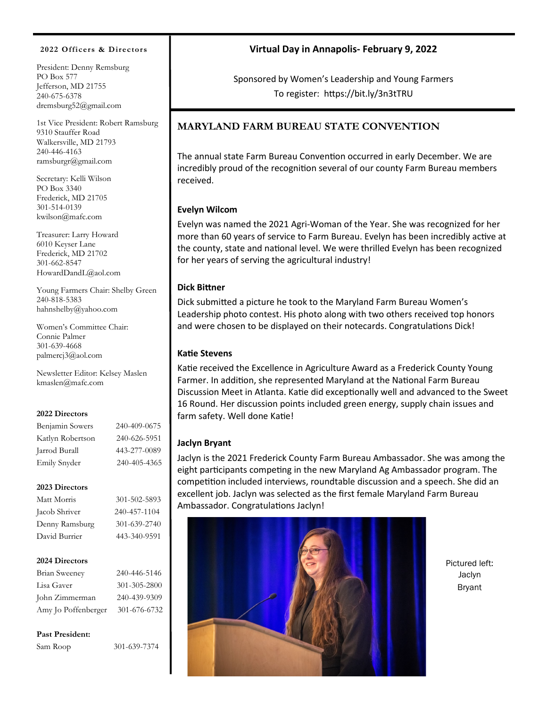#### **2022 Officers & Directors**

President: Denny Remsburg PO Box 577 Jefferson, MD 21755 240-675-6378 dremsburg52@gmail.com

1st Vice President: Robert Ramsburg 9310 Stauffer Road Walkersville, MD 21793 240-446-4163 ramsburgr@gmail.com

Secretary: Kelli Wilson PO Box 3340 Frederick, MD 21705 301-514-0139 kwilson@mafc.com

Treasurer: Larry Howard 6010 Keyser Lane Frederick, MD 21702 301-662-8547 HowardDandL@aol.com

Young Farmers Chair: Shelby Green 240-818-5383 hahnshelby@yahoo.com

Women's Committee Chair: Connie Palmer 301-639-4668 palmercj3@aol.com

Newsletter Editor: Kelsey Maslen kmaslen@mafc.com

#### **2022 Directors**

| Benjamin Sowers  | 240-409-0675 |
|------------------|--------------|
| Katlyn Robertson | 240-626-5951 |
| Jarrod Burall    | 443-277-0089 |
| Emily Snyder     | 240-405-4365 |

#### **2023 Directors**

| Matt Morris    | 301-502-5893 |
|----------------|--------------|
| Jacob Shriver  | 240-457-1104 |
| Denny Ramsburg | 301-639-2740 |
| David Burrier  | 443-340-9591 |
|                |              |

#### **2024 Directors**

| 240-446-5146 |
|--------------|
| 301-305-2800 |
| 240-439-9309 |
| 301-676-6732 |
|              |

**Past President:**

Sam Roop 301-639-7374

# **Virtual Day in Annapolis- February 9, 2022**

Sponsored by Women's Leadership and Young Farmers To register: https://bit.ly/3n3tTRU

# **MARYLAND FARM BUREAU STATE CONVENTION**

The annual state Farm Bureau Convention occurred in early December. We are incredibly proud of the recognition several of our county Farm Bureau members received.

### **Evelyn Wilcom**

Evelyn was named the 2021 Agri-Woman of the Year. She was recognized for her more than 60 years of service to Farm Bureau. Evelyn has been incredibly active at the county, state and national level. We were thrilled Evelyn has been recognized for her years of serving the agricultural industry!

#### **Dick Bittner**

Dick submitted a picture he took to the Maryland Farm Bureau Women's Leadership photo contest. His photo along with two others received top honors and were chosen to be displayed on their notecards. Congratulations Dick!

#### **Katie Stevens**

Katie received the Excellence in Agriculture Award as a Frederick County Young Farmer. In addition, she represented Maryland at the National Farm Bureau Discussion Meet in Atlanta. Katie did exceptionally well and advanced to the Sweet 16 Round. Her discussion points included green energy, supply chain issues and farm safety. Well done Katie!

#### **Jaclyn Bryant**

Jaclyn is the 2021 Frederick County Farm Bureau Ambassador. She was among the eight participants competing in the new Maryland Ag Ambassador program. The competition included interviews, roundtable discussion and a speech. She did an excellent job. Jaclyn was selected as the first female Maryland Farm Bureau Ambassador. Congratulations Jaclyn!



Pictured left: Jaclyn Bryant